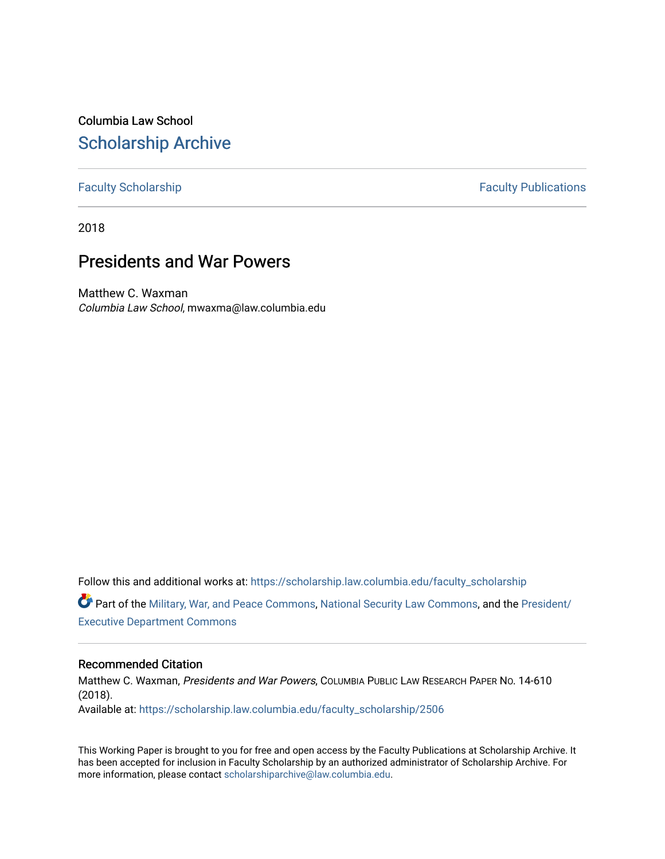Columbia Law School [Scholarship Archive](https://scholarship.law.columbia.edu/) 

[Faculty Scholarship](https://scholarship.law.columbia.edu/faculty_scholarship) **Faculty Scholarship Faculty Publications** 

2018

# Presidents and War Powers

Matthew C. Waxman Columbia Law School, mwaxma@law.columbia.edu

Follow this and additional works at: [https://scholarship.law.columbia.edu/faculty\\_scholarship](https://scholarship.law.columbia.edu/faculty_scholarship?utm_source=scholarship.law.columbia.edu%2Ffaculty_scholarship%2F2506&utm_medium=PDF&utm_campaign=PDFCoverPages)

Part of the [Military, War, and Peace Commons,](http://network.bepress.com/hgg/discipline/861?utm_source=scholarship.law.columbia.edu%2Ffaculty_scholarship%2F2506&utm_medium=PDF&utm_campaign=PDFCoverPages) [National Security Law Commons](http://network.bepress.com/hgg/discipline/1114?utm_source=scholarship.law.columbia.edu%2Ffaculty_scholarship%2F2506&utm_medium=PDF&utm_campaign=PDFCoverPages), and the [President/](http://network.bepress.com/hgg/discipline/1118?utm_source=scholarship.law.columbia.edu%2Ffaculty_scholarship%2F2506&utm_medium=PDF&utm_campaign=PDFCoverPages) [Executive Department Commons](http://network.bepress.com/hgg/discipline/1118?utm_source=scholarship.law.columbia.edu%2Ffaculty_scholarship%2F2506&utm_medium=PDF&utm_campaign=PDFCoverPages) 

# Recommended Citation

Matthew C. Waxman, Presidents and War Powers, COLUMBIA PUBLIC LAW RESEARCH PAPER NO. 14-610 (2018). Available at: [https://scholarship.law.columbia.edu/faculty\\_scholarship/2506](https://scholarship.law.columbia.edu/faculty_scholarship/2506?utm_source=scholarship.law.columbia.edu%2Ffaculty_scholarship%2F2506&utm_medium=PDF&utm_campaign=PDFCoverPages)

This Working Paper is brought to you for free and open access by the Faculty Publications at Scholarship Archive. It has been accepted for inclusion in Faculty Scholarship by an authorized administrator of Scholarship Archive. For more information, please contact [scholarshiparchive@law.columbia.edu.](mailto:scholarshiparchive@law.columbia.edu)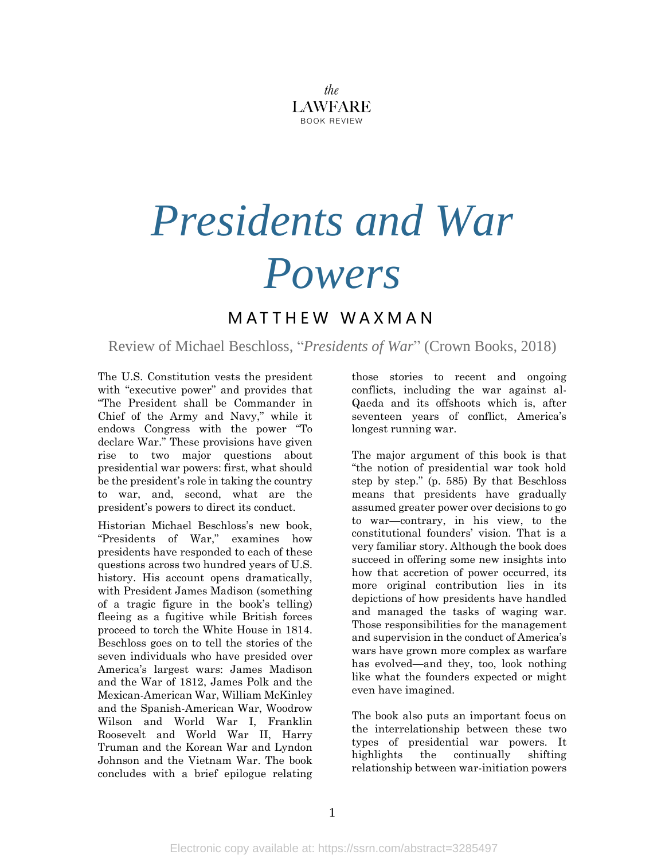

# *Presidents and War Powers*

# M A T T H E W W A X M A N

Review of Michael Beschloss, "*Presidents of War*" (Crown Books, 2018)

The U.S. Constitution vests the president with "executive power" and provides that "The President shall be Commander in Chief of the Army and Navy," while it endows Congress with the power "To declare War." These provisions have given rise to two major questions about presidential war powers: first, what should be the president's role in taking the country to war, and, second, what are the president's powers to direct its conduct.

Historian Michael Beschloss's new book, "Presidents of War," examines how presidents have responded to each of these questions across two hundred years of U.S. history. His account opens dramatically, with President James Madison (something of a tragic figure in the book's telling) fleeing as a fugitive while British forces proceed to torch the White House in 1814. Beschloss goes on to tell the stories of the seven individuals who have presided over America's largest wars: James Madison and the War of 1812, James Polk and the Mexican-American War, William McKinley and the Spanish-American War, Woodrow Wilson and World War I, Franklin Roosevelt and World War II, Harry Truman and the Korean War and Lyndon Johnson and the Vietnam War. The book concludes with a brief epilogue relating those stories to recent and ongoing conflicts, including the war against al-Qaeda and its offshoots which is, after seventeen years of conflict, America's longest running war.

The major argument of this book is that "the notion of presidential war took hold step by step." (p. 585) By that Beschloss means that presidents have gradually assumed greater power over decisions to go to war—contrary, in his view, to the constitutional founders' vision. That is a very familiar story. Although the book does succeed in offering some new insights into how that accretion of power occurred, its more original contribution lies in its depictions of how presidents have handled and managed the tasks of waging war. Those responsibilities for the management and supervision in the conduct of America's wars have grown more complex as warfare has evolved—and they, too, look nothing like what the founders expected or might even have imagined.

The book also puts an important focus on the interrelationship between these two types of presidential war powers. It highlights the continually shifting relationship between war-initiation powers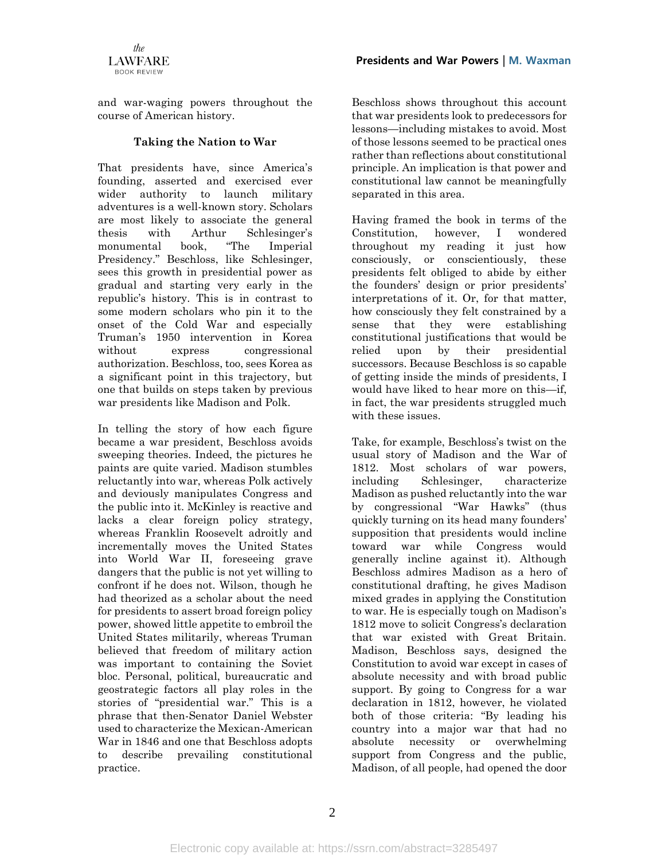

**Presidents and War Powers** | **M. Waxman**

and war-waging powers throughout the course of American history.

### **Taking the Nation to War**

That presidents have, since America's founding, asserted and exercised ever wider authority to launch military adventures is a well-known story. Scholars are most likely to associate the general thesis with Arthur Schlesinger's monumental book, "The Imperial Presidency." Beschloss, like Schlesinger, sees this growth in presidential power as gradual and starting very early in the republic's history. This is in contrast to some modern scholars who pin it to the onset of the Cold War and especially Truman's 1950 intervention in Korea without express congressional authorization. Beschloss, too, sees Korea as a significant point in this trajectory, but one that builds on steps taken by previous war presidents like Madison and Polk.

In telling the story of how each figure became a war president, Beschloss avoids sweeping theories. Indeed, the pictures he paints are quite varied. Madison stumbles reluctantly into war, whereas Polk actively and deviously manipulates Congress and the public into it. McKinley is reactive and lacks a clear foreign policy strategy, whereas Franklin Roosevelt adroitly and incrementally moves the United States into World War II, foreseeing grave dangers that the public is not yet willing to confront if he does not. Wilson, though he had theorized as a scholar about the need for presidents to assert broad foreign policy power, showed little appetite to embroil the United States militarily, whereas Truman believed that freedom of military action was important to containing the Soviet bloc. Personal, political, bureaucratic and geostrategic factors all play roles in the stories of "presidential war." This is a phrase that then-Senator Daniel Webster used to characterize the Mexican-American War in 1846 and one that Beschloss adopts to describe prevailing constitutional practice.

Beschloss shows throughout this account that war presidents look to predecessors for lessons—including mistakes to avoid. Most of those lessons seemed to be practical ones rather than reflections about constitutional principle. An implication is that power and constitutional law cannot be meaningfully separated in this area.

Having framed the book in terms of the Constitution, however, I wondered throughout my reading it just how consciously, or conscientiously, these presidents felt obliged to abide by either the founders' design or prior presidents' interpretations of it. Or, for that matter, how consciously they felt constrained by a sense that they were establishing constitutional justifications that would be relied upon by their presidential successors. Because Beschloss is so capable of getting inside the minds of presidents, I would have liked to hear more on this—if, in fact, the war presidents struggled much with these issues.

Take, for example, Beschloss's twist on the usual story of Madison and the War of 1812. Most scholars of war powers, including Schlesinger, characterize Madison as pushed reluctantly into the war by congressional "War Hawks" (thus quickly turning on its head many founders' supposition that presidents would incline toward war while Congress would generally incline against it). Although Beschloss admires Madison as a hero of constitutional drafting, he gives Madison mixed grades in applying the Constitution to war. He is especially tough on Madison's 1812 move to solicit Congress's declaration that war existed with Great Britain. Madison, Beschloss says, designed the Constitution to avoid war except in cases of absolute necessity and with broad public support. By going to Congress for a war declaration in 1812, however, he violated both of those criteria: "By leading his country into a major war that had no absolute necessity or overwhelming support from Congress and the public, Madison, of all people, had opened the door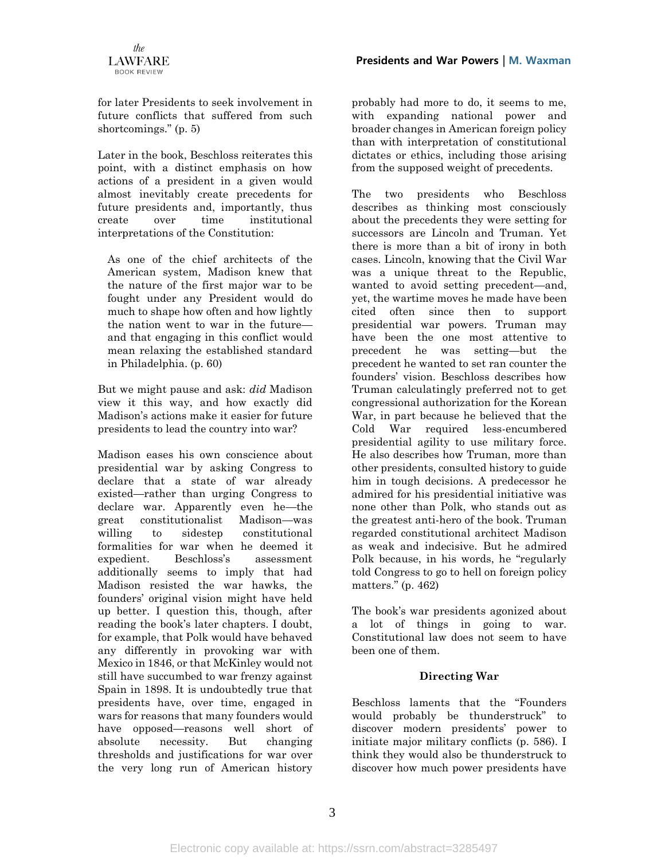

for later Presidents to seek involvement in future conflicts that suffered from such shortcomings." (p. 5)

Later in the book, Beschloss reiterates this point, with a distinct emphasis on how actions of a president in a given would almost inevitably create precedents for future presidents and, importantly, thus create over time institutional interpretations of the Constitution:

As one of the chief architects of the American system, Madison knew that the nature of the first major war to be fought under any President would do much to shape how often and how lightly the nation went to war in the future and that engaging in this conflict would mean relaxing the established standard in Philadelphia. (p. 60)

But we might pause and ask: *did* Madison view it this way, and how exactly did Madison's actions make it easier for future presidents to lead the country into war?

Madison eases his own conscience about presidential war by asking Congress to declare that a state of war already existed—rather than urging Congress to declare war. Apparently even he—the great constitutionalist Madison—was willing to sidestep constitutional formalities for war when he deemed it expedient. Beschloss's assessment additionally seems to imply that had Madison resisted the war hawks, the founders' original vision might have held up better. I question this, though, after reading the book's later chapters. I doubt, for example, that Polk would have behaved any differently in provoking war with Mexico in 1846, or that McKinley would not still have succumbed to war frenzy against Spain in 1898. It is undoubtedly true that presidents have, over time, engaged in wars for reasons that many founders would have opposed—reasons well short of absolute necessity. But changing thresholds and justifications for war over the very long run of American history

probably had more to do, it seems to me, with expanding national power and broader changes in American foreign policy than with interpretation of constitutional dictates or ethics, including those arising from the supposed weight of precedents.

The two presidents who Beschloss describes as thinking most consciously about the precedents they were setting for successors are Lincoln and Truman. Yet there is more than a bit of irony in both cases. Lincoln, knowing that the Civil War was a unique threat to the Republic, wanted to avoid setting precedent—and, yet, the wartime moves he made have been cited often since then to support presidential war powers. Truman may have been the one most attentive to precedent he was setting—but the precedent he wanted to set ran counter the founders' vision. Beschloss describes how Truman calculatingly preferred not to get congressional authorization for the Korean War, in part because he believed that the Cold War required less-encumbered presidential agility to use military force. He also describes how Truman, more than other presidents, consulted history to guide him in tough decisions. A predecessor he admired for his presidential initiative was none other than Polk, who stands out as the greatest anti-hero of the book. Truman regarded constitutional architect Madison as weak and indecisive. But he admired Polk because, in his words, he "regularly told Congress to go to hell on foreign policy matters." (p. 462)

The book's war presidents agonized about a lot of things in going to war. Constitutional law does not seem to have been one of them.

# **Directing War**

Beschloss laments that the "Founders would probably be thunderstruck" to discover modern presidents' power to initiate major military conflicts (p. 586). I think they would also be thunderstruck to discover how much power presidents have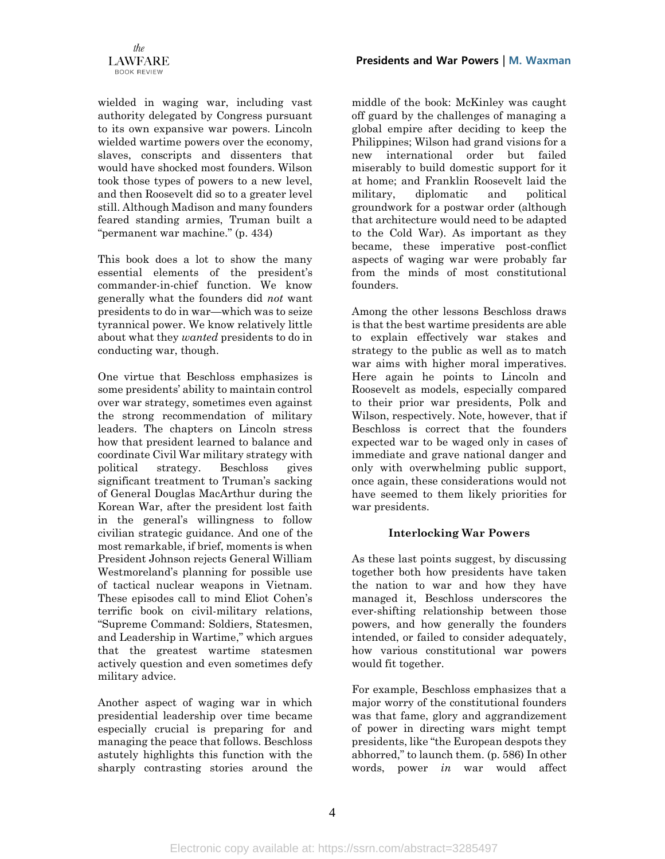wielded in waging war, including vast authority delegated by Congress pursuant to its own expansive war powers. Lincoln wielded wartime powers over the economy, slaves, conscripts and dissenters that would have shocked most founders. Wilson took those types of powers to a new level, and then Roosevelt did so to a greater level still. Although Madison and many founders feared standing armies, Truman built a "permanent war machine." (p. 434)

This book does a lot to show the many essential elements of the president's commander-in-chief function. We know generally what the founders did *not* want presidents to do in war—which was to seize tyrannical power. We know relatively little about what they *wanted* presidents to do in conducting war, though.

One virtue that Beschloss emphasizes is some presidents' ability to maintain control over war strategy, sometimes even against the strong recommendation of military leaders. The chapters on Lincoln stress how that president learned to balance and coordinate Civil War military strategy with political strategy. Beschloss gives significant treatment to Truman's sacking of General Douglas MacArthur during the Korean War, after the president lost faith in the general's willingness to follow civilian strategic guidance. And one of the most remarkable, if brief, moments is when President Johnson rejects General William Westmoreland's planning for possible use of tactical nuclear weapons in Vietnam. These episodes call to mind Eliot Cohen's terrific book on civil-military relations, "Supreme Command: Soldiers, Statesmen, and Leadership in Wartime," which argues that the greatest wartime statesmen actively question and even sometimes defy military advice.

Another aspect of waging war in which presidential leadership over time became especially crucial is preparing for and managing the peace that follows. Beschloss astutely highlights this function with the sharply contrasting stories around the

middle of the book: McKinley was caught off guard by the challenges of managing a global empire after deciding to keep the Philippines; Wilson had grand visions for a new international order but failed miserably to build domestic support for it at home; and Franklin Roosevelt laid the military, diplomatic and political groundwork for a postwar order (although that architecture would need to be adapted to the Cold War). As important as they became, these imperative post-conflict aspects of waging war were probably far from the minds of most constitutional founders.

Among the other lessons Beschloss draws is that the best wartime presidents are able to explain effectively war stakes and strategy to the public as well as to match war aims with higher moral imperatives. Here again he points to Lincoln and Roosevelt as models, especially compared to their prior war presidents, Polk and Wilson, respectively. Note, however, that if Beschloss is correct that the founders expected war to be waged only in cases of immediate and grave national danger and only with overwhelming public support, once again, these considerations would not have seemed to them likely priorities for war presidents.

#### **Interlocking War Powers**

As these last points suggest, by discussing together both how presidents have taken the nation to war and how they have managed it, Beschloss underscores the ever-shifting relationship between those powers, and how generally the founders intended, or failed to consider adequately, how various constitutional war powers would fit together.

For example, Beschloss emphasizes that a major worry of the constitutional founders was that fame, glory and aggrandizement of power in directing wars might tempt presidents, like "the European despots they abhorred," to launch them. (p. 586) In other words, power *in* war would affect